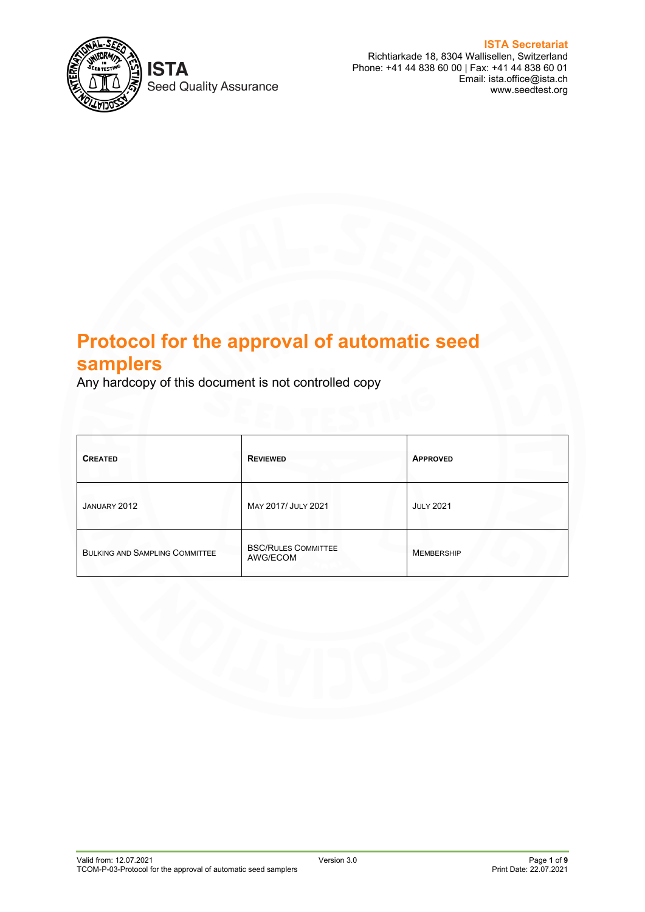

**Seed Quality Assurance** 

**ISTA Secretariat** Richtiarkade 18, 8304 Wallisellen, Switzerland Phone: +41 44 838 60 00 | Fax: +41 44 838 60 01 Email: ista.office@ista.ch www.seedtest.org

# **Protocol for the approval of automatic seed samplers**

Any hardcopy of this document is not controlled copy

| <b>CREATED</b>                        | <b>REVIEWED</b>                        | <b>APPROVED</b>   |
|---------------------------------------|----------------------------------------|-------------------|
| JANUARY 2012                          | MAY 2017/ JULY 2021                    | <b>JULY 2021</b>  |
| <b>BULKING AND SAMPLING COMMITTEE</b> | <b>BSC/RULES COMMITTEE</b><br>AWG/ECOM | <b>MEMBERSHIP</b> |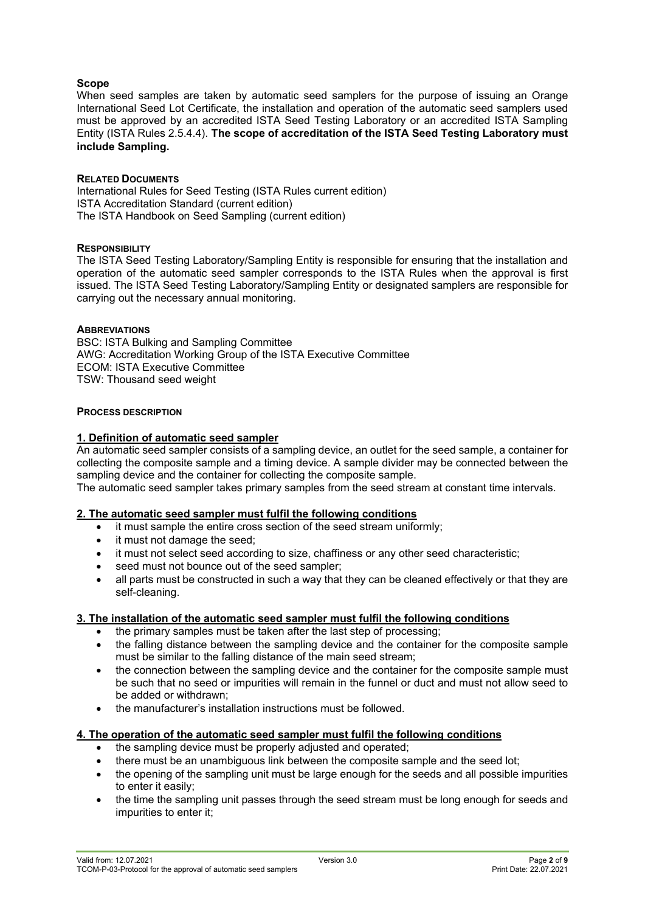# **Scope**

When seed samples are taken by automatic seed samplers for the purpose of issuing an Orange International Seed Lot Certificate, the installation and operation of the automatic seed samplers used must be approved by an accredited ISTA Seed Testing Laboratory or an accredited ISTA Sampling Entity (ISTA Rules 2.5.4.4). **The scope of accreditation of the ISTA Seed Testing Laboratory must include Sampling.**

## **RELATED DOCUMENTS**

International Rules for Seed Testing (ISTA Rules current edition) ISTA Accreditation Standard (current edition) The ISTA Handbook on Seed Sampling (current edition)

## **RESPONSIBILITY**

The ISTA Seed Testing Laboratory/Sampling Entity is responsible for ensuring that the installation and operation of the automatic seed sampler corresponds to the ISTA Rules when the approval is first issued. The ISTA Seed Testing Laboratory/Sampling Entity or designated samplers are responsible for carrying out the necessary annual monitoring.

## **ABBREVIATIONS**

BSC: ISTA Bulking and Sampling Committee AWG: Accreditation Working Group of the ISTA Executive Committee ECOM: ISTA Executive Committee TSW: Thousand seed weight

## **PROCESS DESCRIPTION**

## **1. Definition of automatic seed sampler**

An automatic seed sampler consists of a sampling device, an outlet for the seed sample, a container for collecting the composite sample and a timing device. A sample divider may be connected between the sampling device and the container for collecting the composite sample.

The automatic seed sampler takes primary samples from the seed stream at constant time intervals.

## **2. The automatic seed sampler must fulfil the following conditions**

- it must sample the entire cross section of the seed stream uniformly:
- it must not damage the seed;
- it must not select seed according to size, chaffiness or any other seed characteristic;
- seed must not bounce out of the seed sampler:
- all parts must be constructed in such a way that they can be cleaned effectively or that they are self-cleaning.

## **3. The installation of the automatic seed sampler must fulfil the following conditions**

- the primary samples must be taken after the last step of processing;
- the falling distance between the sampling device and the container for the composite sample must be similar to the falling distance of the main seed stream;
- the connection between the sampling device and the container for the composite sample must be such that no seed or impurities will remain in the funnel or duct and must not allow seed to be added or withdrawn;
- the manufacturer's installation instructions must be followed.

## **4. The operation of the automatic seed sampler must fulfil the following conditions**

- the sampling device must be properly adjusted and operated;
- there must be an unambiguous link between the composite sample and the seed lot;
- the opening of the sampling unit must be large enough for the seeds and all possible impurities to enter it easily;
- the time the sampling unit passes through the seed stream must be long enough for seeds and impurities to enter it;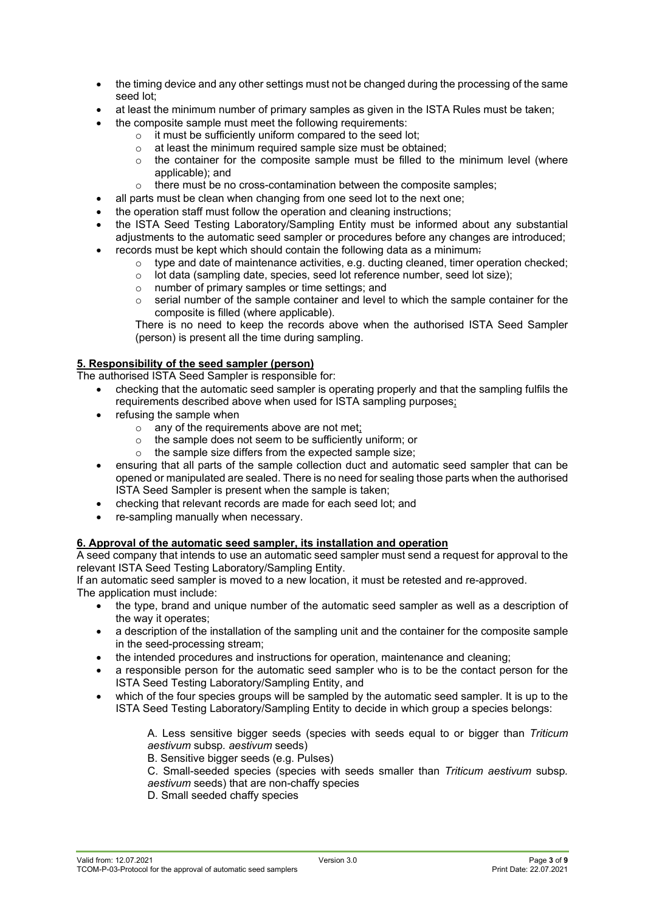- the timing device and any other settings must not be changed during the processing of the same seed lot;
- at least the minimum number of primary samples as given in the ISTA Rules must be taken;
	- the composite sample must meet the following requirements:
		- o it must be sufficiently uniform compared to the seed lot;<br>  $\circ$  at least the minimum required sample size must be obta
		- at least the minimum required sample size must be obtained;
		- $\circ$  the container for the composite sample must be filled to the minimum level (where applicable); and
		- $\circ$  there must be no cross-contamination between the composite samples:
- all parts must be clean when changing from one seed lot to the next one;
- the operation staff must follow the operation and cleaning instructions;
- the ISTA Seed Testing Laboratory/Sampling Entity must be informed about any substantial adjustments to the automatic seed sampler or procedures before any changes are introduced;
- records must be kept which should contain the following data as a minimum-
	- $\circ$  type and date of maintenance activities, e.g. ducting cleaned, timer operation checked;
	- o lot data (sampling date, species, seed lot reference number, seed lot size);
	- $\circ$  number of primary samples or time settings; and  $\circ$  serial number of the sample container and level
	- serial number of the sample container and level to which the sample container for the composite is filled (where applicable).

There is no need to keep the records above when the authorised ISTA Seed Sampler (person) is present all the time during sampling.

# **5. Responsibility of the seed sampler (person)**

The authorised ISTA Seed Sampler is responsible for:

- checking that the automatic seed sampler is operating properly and that the sampling fulfils the requirements described above when used for ISTA sampling purposes;
- refusing the sample when
	- $\circ$  any of the requirements above are not met<sub>i</sub>  $\circ$  the sample does not seem to be sufficiently
	- the sample does not seem to be sufficiently uniform; or
	- o the sample size differs from the expected sample size;
- ensuring that all parts of the sample collection duct and automatic seed sampler that can be opened or manipulated are sealed. There is no need for sealing those parts when the authorised ISTA Seed Sampler is present when the sample is taken;
- checking that relevant records are made for each seed lot; and
- re-sampling manually when necessary.

## **6. Approval of the automatic seed sampler, its installation and operation**

A seed company that intends to use an automatic seed sampler must send a request for approval to the relevant ISTA Seed Testing Laboratory/Sampling Entity.

If an automatic seed sampler is moved to a new location, it must be retested and re-approved. The application must include:

- the type, brand and unique number of the automatic seed sampler as well as a description of the way it operates;
- a description of the installation of the sampling unit and the container for the composite sample in the seed-processing stream;
- the intended procedures and instructions for operation, maintenance and cleaning;
- a responsible person for the automatic seed sampler who is to be the contact person for the ISTA Seed Testing Laboratory/Sampling Entity, and
- which of the four species groups will be sampled by the automatic seed sampler. It is up to the ISTA Seed Testing Laboratory/Sampling Entity to decide in which group a species belongs:

A. Less sensitive bigger seeds (species with seeds equal to or bigger than *Triticum aestivum* subsp*. aestivum* seeds)

B. Sensitive bigger seeds (e.g. Pulses)

C. Small-seeded species (species with seeds smaller than *Triticum aestivum* subsp*. aestivum* seeds) that are non-chaffy species

D. Small seeded chaffy species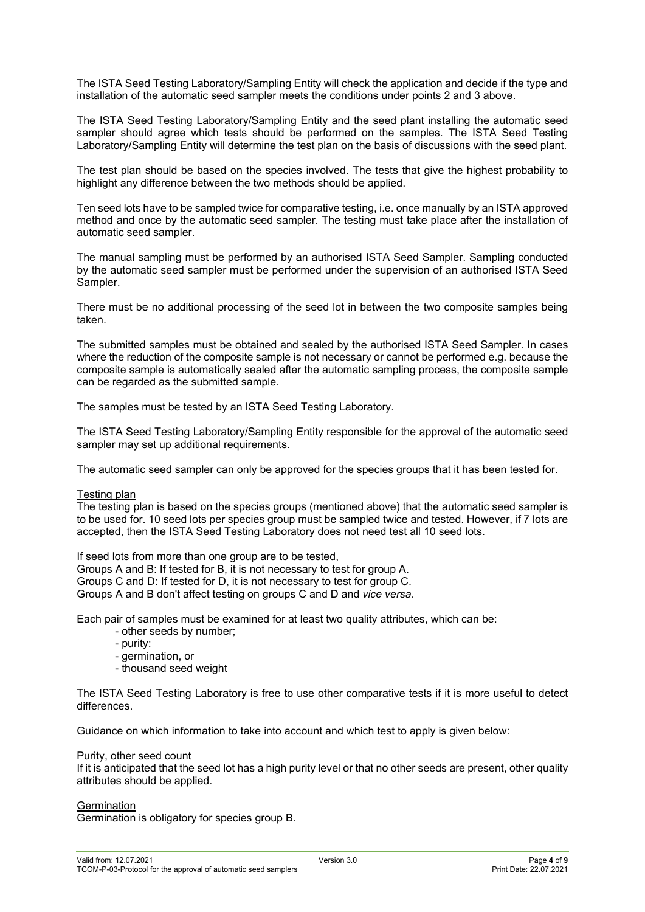The ISTA Seed Testing Laboratory/Sampling Entity will check the application and decide if the type and installation of the automatic seed sampler meets the conditions under points 2 and 3 above.

The ISTA Seed Testing Laboratory/Sampling Entity and the seed plant installing the automatic seed sampler should agree which tests should be performed on the samples. The ISTA Seed Testing Laboratory/Sampling Entity will determine the test plan on the basis of discussions with the seed plant.

The test plan should be based on the species involved. The tests that give the highest probability to highlight any difference between the two methods should be applied.

Ten seed lots have to be sampled twice for comparative testing, i.e. once manually by an ISTA approved method and once by the automatic seed sampler. The testing must take place after the installation of automatic seed sampler.

The manual sampling must be performed by an authorised ISTA Seed Sampler. Sampling conducted by the automatic seed sampler must be performed under the supervision of an authorised ISTA Seed Sampler.

There must be no additional processing of the seed lot in between the two composite samples being taken.

The submitted samples must be obtained and sealed by the authorised ISTA Seed Sampler. In cases where the reduction of the composite sample is not necessary or cannot be performed e.g. because the composite sample is automatically sealed after the automatic sampling process, the composite sample can be regarded as the submitted sample.

The samples must be tested by an ISTA Seed Testing Laboratory.

The ISTA Seed Testing Laboratory/Sampling Entity responsible for the approval of the automatic seed sampler may set up additional requirements.

The automatic seed sampler can only be approved for the species groups that it has been tested for.

#### Testing plan

The testing plan is based on the species groups (mentioned above) that the automatic seed sampler is to be used for. 10 seed lots per species group must be sampled twice and tested. However, if 7 lots are accepted, then the ISTA Seed Testing Laboratory does not need test all 10 seed lots.

If seed lots from more than one group are to be tested, Groups A and B: If tested for B, it is not necessary to test for group A. Groups C and D: If tested for D, it is not necessary to test for group C. Groups A and B don't affect testing on groups C and D and *vice versa*.

Each pair of samples must be examined for at least two quality attributes, which can be:

- other seeds by number;
- purity:
- germination, or
- thousand seed weight

The ISTA Seed Testing Laboratory is free to use other comparative tests if it is more useful to detect differences.

Guidance on which information to take into account and which test to apply is given below:

#### Purity, other seed count

If it is anticipated that the seed lot has a high purity level or that no other seeds are present, other quality attributes should be applied.

#### **Germination**

Germination is obligatory for species group B.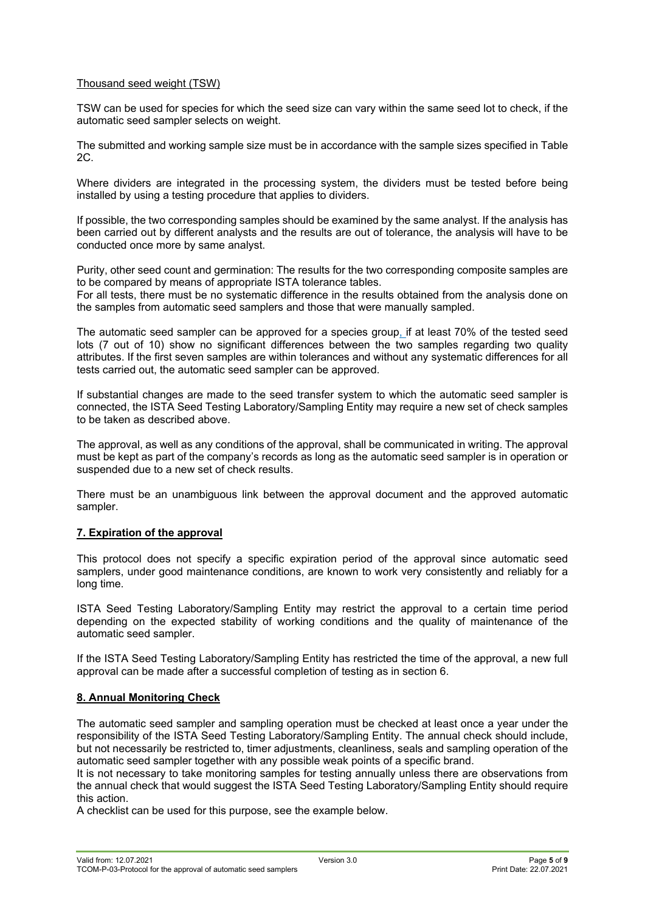# Thousand seed weight (TSW)

TSW can be used for species for which the seed size can vary within the same seed lot to check, if the automatic seed sampler selects on weight.

The submitted and working sample size must be in accordance with the sample sizes specified in Table 2C.

Where dividers are integrated in the processing system, the dividers must be tested before being installed by using a testing procedure that applies to dividers.

If possible, the two corresponding samples should be examined by the same analyst. If the analysis has been carried out by different analysts and the results are out of tolerance, the analysis will have to be conducted once more by same analyst.

Purity, other seed count and germination: The results for the two corresponding composite samples are to be compared by means of appropriate ISTA tolerance tables.

For all tests, there must be no systematic difference in the results obtained from the analysis done on the samples from automatic seed samplers and those that were manually sampled.

The automatic seed sampler can be approved for a species group, if at least 70% of the tested seed lots (7 out of 10) show no significant differences between the two samples regarding two quality attributes. If the first seven samples are within tolerances and without any systematic differences for all tests carried out, the automatic seed sampler can be approved.

If substantial changes are made to the seed transfer system to which the automatic seed sampler is connected, the ISTA Seed Testing Laboratory/Sampling Entity may require a new set of check samples to be taken as described above.

The approval, as well as any conditions of the approval, shall be communicated in writing. The approval must be kept as part of the company's records as long as the automatic seed sampler is in operation or suspended due to a new set of check results.

There must be an unambiguous link between the approval document and the approved automatic sampler.

## **7. Expiration of the approval**

This protocol does not specify a specific expiration period of the approval since automatic seed samplers, under good maintenance conditions, are known to work very consistently and reliably for a long time.

ISTA Seed Testing Laboratory/Sampling Entity may restrict the approval to a certain time period depending on the expected stability of working conditions and the quality of maintenance of the automatic seed sampler.

If the ISTA Seed Testing Laboratory/Sampling Entity has restricted the time of the approval, a new full approval can be made after a successful completion of testing as in section 6.

## **8. Annual Monitoring Check**

The automatic seed sampler and sampling operation must be checked at least once a year under the responsibility of the ISTA Seed Testing Laboratory/Sampling Entity. The annual check should include, but not necessarily be restricted to, timer adjustments, cleanliness, seals and sampling operation of the automatic seed sampler together with any possible weak points of a specific brand.

It is not necessary to take monitoring samples for testing annually unless there are observations from the annual check that would suggest the ISTA Seed Testing Laboratory/Sampling Entity should require this action.

A checklist can be used for this purpose, see the example below.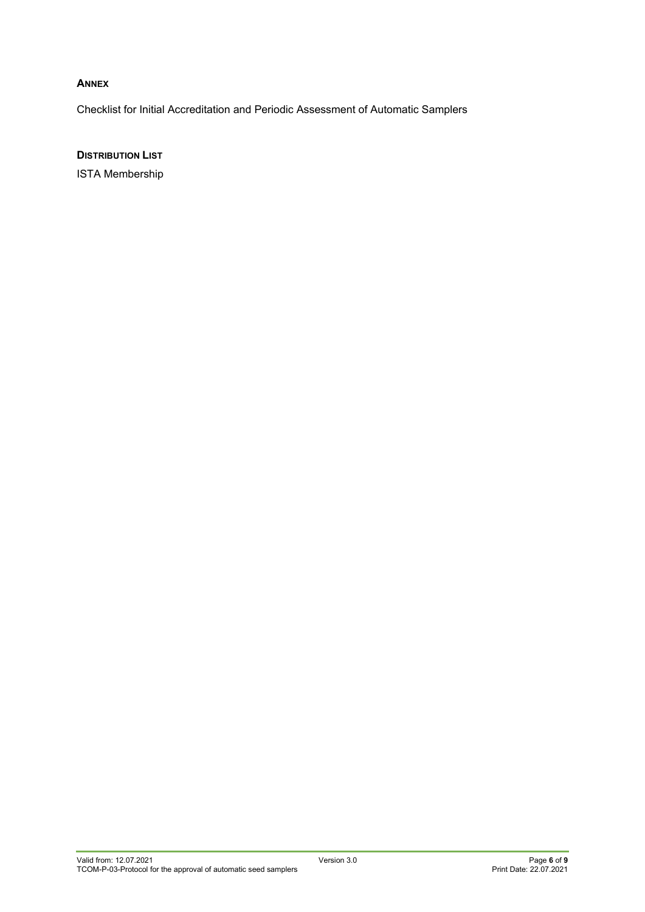# **ANNEX**

Checklist for Initial Accreditation and Periodic Assessment of Automatic Samplers

**DISTRIBUTION LIST**

ISTA Membership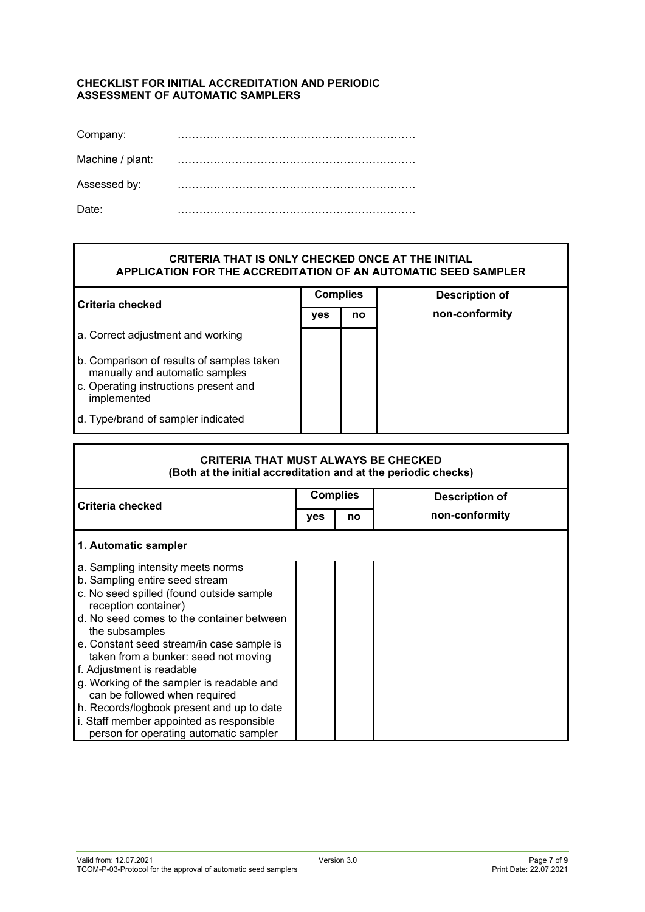## **CHECKLIST FOR INITIAL ACCREDITATION AND PERIODIC ASSESSMENT OF AUTOMATIC SAMPLERS**

| Company:         |  |
|------------------|--|
| Machine / plant: |  |
| Assessed by:     |  |
| Date:            |  |

# **CRITERIA THAT IS ONLY CHECKED ONCE AT THE INITIAL APPLICATION FOR THE ACCREDITATION OF AN AUTOMATIC SEED SAMPLER**

| Criteria checked                                                            | <b>Complies</b> |    | <b>Description of</b> |
|-----------------------------------------------------------------------------|-----------------|----|-----------------------|
|                                                                             | /es             | no | non-conformity        |
| a. Correct adjustment and working                                           |                 |    |                       |
| b. Comparison of results of samples taken<br>manually and automatic samples |                 |    |                       |
| c. Operating instructions present and<br>implemented                        |                 |    |                       |
| d. Type/brand of sampler indicated                                          |                 |    |                       |

| <b>CRITERIA THAT MUST ALWAYS BE CHECKED</b><br>(Both at the initial accreditation and at the periodic checks) |                 |    |                       |
|---------------------------------------------------------------------------------------------------------------|-----------------|----|-----------------------|
| Criteria checked                                                                                              | <b>Complies</b> |    | <b>Description of</b> |
|                                                                                                               | yes             | no | non-conformity        |
| 1. Automatic sampler                                                                                          |                 |    |                       |
| a. Sampling intensity meets norms                                                                             |                 |    |                       |
| b. Sampling entire seed stream                                                                                |                 |    |                       |
| c. No seed spilled (found outside sample<br>reception container)                                              |                 |    |                       |
| d. No seed comes to the container between<br>the subsamples                                                   |                 |    |                       |
| e. Constant seed stream/in case sample is<br>taken from a bunker: seed not moving                             |                 |    |                       |
| f. Adjustment is readable                                                                                     |                 |    |                       |
| g. Working of the sampler is readable and<br>can be followed when required                                    |                 |    |                       |
| h. Records/logbook present and up to date                                                                     |                 |    |                       |
| i. Staff member appointed as responsible                                                                      |                 |    |                       |
| person for operating automatic sampler                                                                        |                 |    |                       |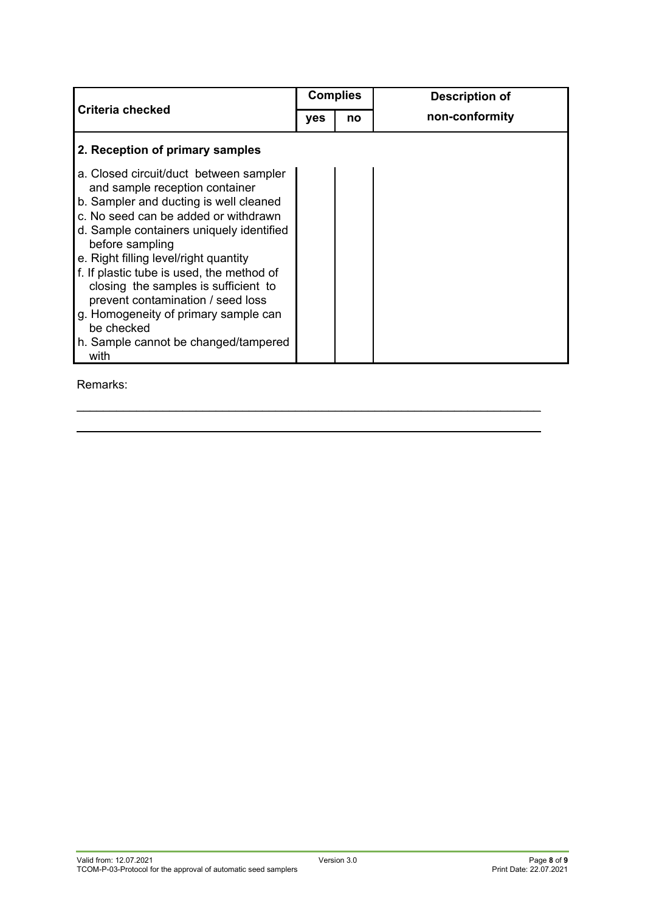|                                                                                                                        |  | <b>Complies</b> | <b>Description of</b> |
|------------------------------------------------------------------------------------------------------------------------|--|-----------------|-----------------------|
| <b>Criteria checked</b>                                                                                                |  | no              | non-conformity        |
| 2. Reception of primary samples                                                                                        |  |                 |                       |
| a. Closed circuit/duct between sampler<br>and sample reception container                                               |  |                 |                       |
| b. Sampler and ducting is well cleaned                                                                                 |  |                 |                       |
| c. No seed can be added or withdrawn                                                                                   |  |                 |                       |
| d. Sample containers uniquely identified<br>before sampling                                                            |  |                 |                       |
| e. Right filling level/right quantity                                                                                  |  |                 |                       |
| f. If plastic tube is used, the method of<br>closing the samples is sufficient to<br>prevent contamination / seed loss |  |                 |                       |
| g. Homogeneity of primary sample can<br>be checked                                                                     |  |                 |                       |
| h. Sample cannot be changed/tampered<br>with                                                                           |  |                 |                       |

 $\_$ \_\_\_\_\_\_\_\_\_\_\_\_\_\_\_\_\_\_\_\_\_\_\_\_\_\_\_\_\_\_\_\_\_\_\_\_\_\_\_\_\_\_\_\_\_\_\_\_\_\_\_\_\_\_\_\_\_\_\_\_\_\_\_\_\_\_\_\_\_\_

Remarks: